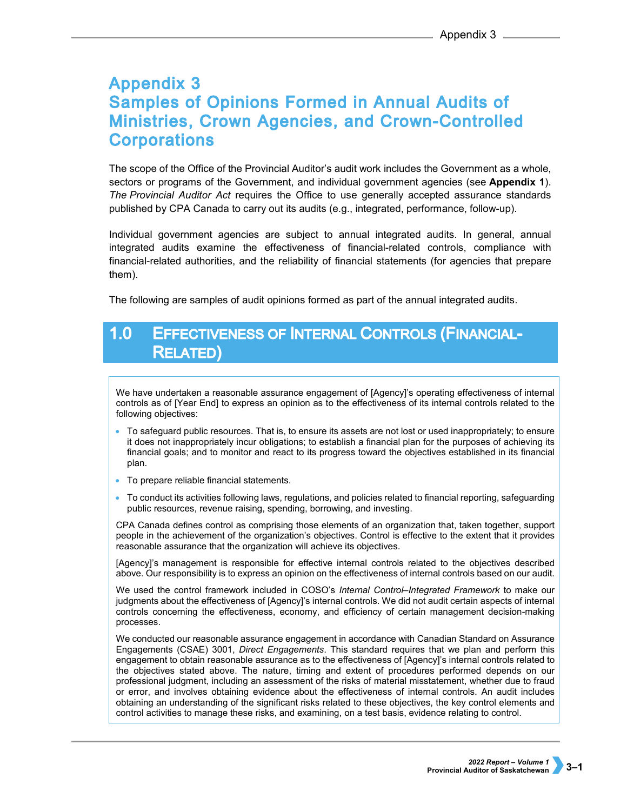# **Appendix 3 Samples of Opinions Formed in Annual Audits of Ministries, Crown Agencies, and Crown-Controlled Corporations**

The scope of the Office of the Provincial Auditor's audit work includes the Government as a whole, sectors or programs of the Government, and individual government agencies (see **Appendix 1**). *The Provincial Auditor Act* requires the Office to use generally accepted assurance standards published by CPA Canada to carry out its audits (e.g., integrated, performance, follow-up).

Individual government agencies are subject to annual integrated audits. In general, annual integrated audits examine the effectiveness of financial-related controls, compliance with financial-related authorities, and the reliability of financial statements (for agencies that prepare them).

The following are samples of audit opinions formed as part of the annual integrated audits.

# **EFFECTIVENESS OF INTERNAL CONTROLS (FINANCIAL-** $1.0$ **RELATED)**

We have undertaken a reasonable assurance engagement of [Agency]'s operating effectiveness of internal controls as of [Year End] to express an opinion as to the effectiveness of its internal controls related to the following objectives:

- To safeguard public resources. That is, to ensure its assets are not lost or used inappropriately; to ensure it does not inappropriately incur obligations; to establish a financial plan for the purposes of achieving its financial goals; and to monitor and react to its progress toward the objectives established in its financial plan.
- To prepare reliable financial statements.
- To conduct its activities following laws, regulations, and policies related to financial reporting, safeguarding public resources, revenue raising, spending, borrowing, and investing.

CPA Canada defines control as comprising those elements of an organization that, taken together, support people in the achievement of the organization's objectives. Control is effective to the extent that it provides reasonable assurance that the organization will achieve its objectives.

[Agency]'s management is responsible for effective internal controls related to the objectives described above. Our responsibility is to express an opinion on the effectiveness of internal controls based on our audit.

We used the control framework included in COSO's *Internal Control–Integrated Framework* to make our judgments about the effectiveness of [Agency]'s internal controls. We did not audit certain aspects of internal controls concerning the effectiveness, economy, and efficiency of certain management decision-making processes.

We conducted our reasonable assurance engagement in accordance with Canadian Standard on Assurance Engagements (CSAE) 3001, *Direct Engagements*. This standard requires that we plan and perform this engagement to obtain reasonable assurance as to the effectiveness of [Agency]'s internal controls related to the objectives stated above. The nature, timing and extent of procedures performed depends on our professional judgment, including an assessment of the risks of material misstatement, whether due to fraud or error, and involves obtaining evidence about the effectiveness of internal controls. An audit includes obtaining an understanding of the significant risks related to these objectives, the key control elements and control activities to manage these risks, and examining, on a test basis, evidence relating to control.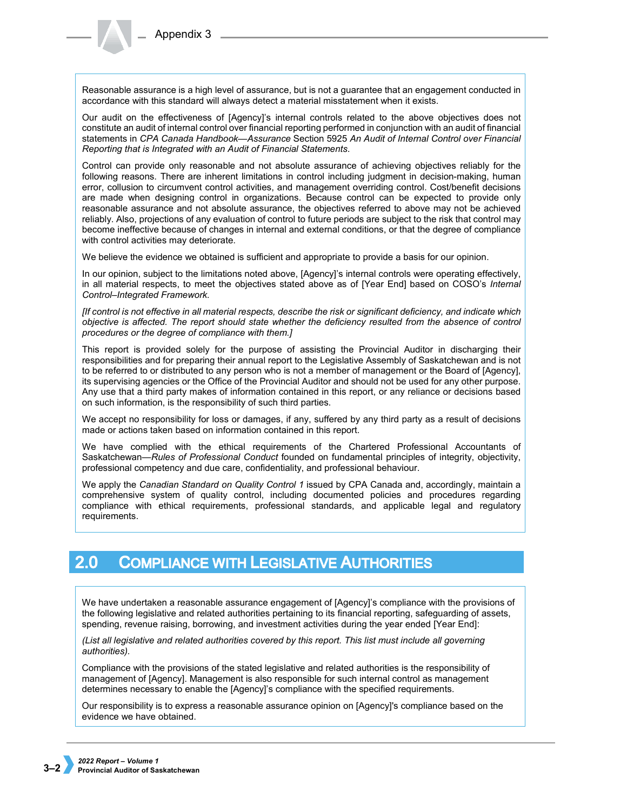Reasonable assurance is a high level of assurance, but is not a guarantee that an engagement conducted in accordance with this standard will always detect a material misstatement when it exists.

Our audit on the effectiveness of [Agency]'s internal controls related to the above objectives does not constitute an audit of internal control over financial reporting performed in conjunction with an audit of financial statements in *CPA Canada Handbook—Assurance* Section 5925 *An Audit of Internal Control over Financial Reporting that is Integrated with an Audit of Financial Statements*.

Control can provide only reasonable and not absolute assurance of achieving objectives reliably for the following reasons. There are inherent limitations in control including judgment in decision-making, human error, collusion to circumvent control activities, and management overriding control. Cost/benefit decisions are made when designing control in organizations. Because control can be expected to provide only reasonable assurance and not absolute assurance, the objectives referred to above may not be achieved reliably. Also, projections of any evaluation of control to future periods are subject to the risk that control may become ineffective because of changes in internal and external conditions, or that the degree of compliance with control activities may deteriorate.

We believe the evidence we obtained is sufficient and appropriate to provide a basis for our opinion.

In our opinion, subject to the limitations noted above, [Agency]'s internal controls were operating effectively, in all material respects, to meet the objectives stated above as of [Year End] based on COSO's *Internal Control–Integrated Framework*.

*[If control is not effective in all material respects, describe the risk or significant deficiency, and indicate which objective is affected. The report should state whether the deficiency resulted from the absence of control procedures or the degree of compliance with them.]*

This report is provided solely for the purpose of assisting the Provincial Auditor in discharging their responsibilities and for preparing their annual report to the Legislative Assembly of Saskatchewan and is not to be referred to or distributed to any person who is not a member of management or the Board of [Agency], its supervising agencies or the Office of the Provincial Auditor and should not be used for any other purpose. Any use that a third party makes of information contained in this report, or any reliance or decisions based on such information, is the responsibility of such third parties.

We accept no responsibility for loss or damages, if any, suffered by any third party as a result of decisions made or actions taken based on information contained in this report.

We have complied with the ethical requirements of the Chartered Professional Accountants of Saskatchewan*—Rules of Professional Conduct* founded on fundamental principles of integrity, objectivity, professional competency and due care, confidentiality, and professional behaviour.

We apply the *Canadian Standard on Quality Control 1* issued by CPA Canada and, accordingly, maintain a comprehensive system of quality control, including documented policies and procedures regarding compliance with ethical requirements, professional standards, and applicable legal and regulatory requirements.

#### $2.0$ **COMPLIANCE WITH LEGISLATIVE AUTHORITIES**

We have undertaken a reasonable assurance engagement of [Agency]'s compliance with the provisions of the following legislative and related authorities pertaining to its financial reporting, safeguarding of assets, spending, revenue raising, borrowing, and investment activities during the year ended [Year End]:

*(List all legislative and related authorities covered by this report. This list must include all governing authorities).*

Compliance with the provisions of the stated legislative and related authorities is the responsibility of management of [Agency]. Management is also responsible for such internal control as management determines necessary to enable the [Agency]'s compliance with the specified requirements.

Our responsibility is to express a reasonable assurance opinion on [Agency]'s compliance based on the evidence we have obtained.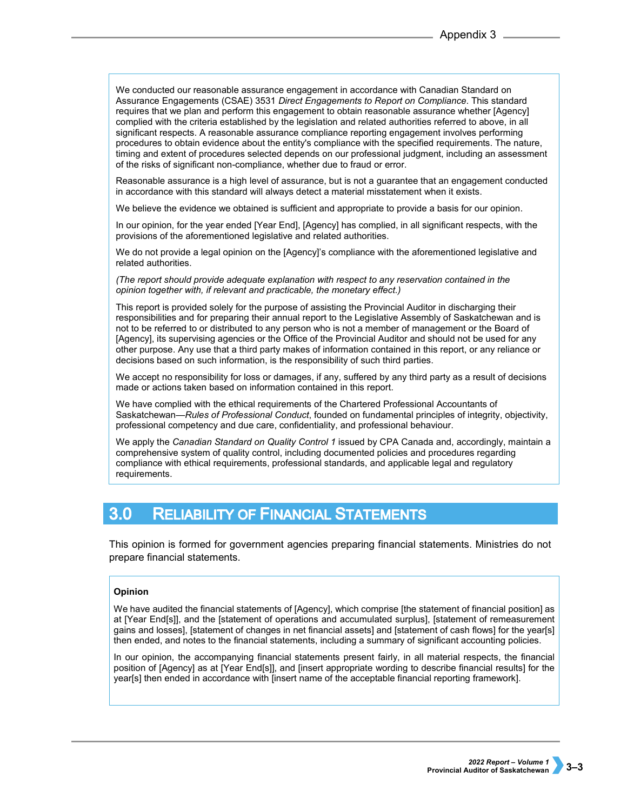We conducted our reasonable assurance engagement in accordance with Canadian Standard on Assurance Engagements (CSAE) 3531 *Direct Engagements to Report on Compliance*. This standard requires that we plan and perform this engagement to obtain reasonable assurance whether [Agency] complied with the criteria established by the legislation and related authorities referred to above, in all significant respects. A reasonable assurance compliance reporting engagement involves performing procedures to obtain evidence about the entity's compliance with the specified requirements. The nature, timing and extent of procedures selected depends on our professional judgment, including an assessment of the risks of significant non-compliance, whether due to fraud or error.

Reasonable assurance is a high level of assurance, but is not a guarantee that an engagement conducted in accordance with this standard will always detect a material misstatement when it exists.

We believe the evidence we obtained is sufficient and appropriate to provide a basis for our opinion.

In our opinion, for the year ended [Year End], [Agency] has complied, in all significant respects, with the provisions of the aforementioned legislative and related authorities.

We do not provide a legal opinion on the [Agency]'s compliance with the aforementioned legislative and related authorities.

*(The report should provide adequate explanation with respect to any reservation contained in the opinion together with, if relevant and practicable, the monetary effect.)*

This report is provided solely for the purpose of assisting the Provincial Auditor in discharging their responsibilities and for preparing their annual report to the Legislative Assembly of Saskatchewan and is not to be referred to or distributed to any person who is not a member of management or the Board of [Agency], its supervising agencies or the Office of the Provincial Auditor and should not be used for any other purpose. Any use that a third party makes of information contained in this report, or any reliance or decisions based on such information, is the responsibility of such third parties.

We accept no responsibility for loss or damages, if any, suffered by any third party as a result of decisions made or actions taken based on information contained in this report.

We have complied with the ethical requirements of the Chartered Professional Accountants of Saskatchewan*—Rules of Professional Conduct*, founded on fundamental principles of integrity, objectivity, professional competency and due care, confidentiality, and professional behaviour.

We apply the *Canadian Standard on Quality Control 1* issued by CPA Canada and, accordingly, maintain a comprehensive system of quality control, including documented policies and procedures regarding compliance with ethical requirements, professional standards, and applicable legal and regulatory requirements.

#### **RELIABILITY OF FINANCIAL STATEMENTS**  $3.0$

This opinion is formed for government agencies preparing financial statements. Ministries do not prepare financial statements.

# **Opinion**

We have audited the financial statements of [Agency], which comprise [the statement of financial position] as at [Year End[s]], and the [statement of operations and accumulated surplus], [statement of remeasurement gains and losses], [statement of changes in net financial assets] and [statement of cash flows] for the year[s] then ended, and notes to the financial statements, including a summary of significant accounting policies.

In our opinion, the accompanying financial statements present fairly, in all material respects, the financial position of [Agency] as at [Year End[s]], and [insert appropriate wording to describe financial results] for the year[s] then ended in accordance with [insert name of the acceptable financial reporting framework].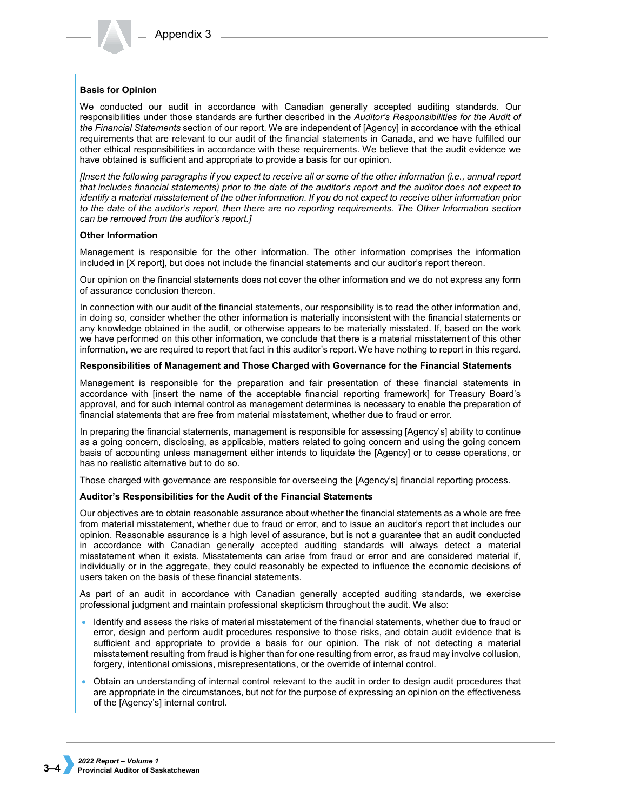## **Basis for Opinion**

We conducted our audit in accordance with Canadian generally accepted auditing standards. Our responsibilities under those standards are further described in the *Auditor's Responsibilities for the Audit of the Financial Statements* section of our report. We are independent of [Agency] in accordance with the ethical requirements that are relevant to our audit of the financial statements in Canada, and we have fulfilled our other ethical responsibilities in accordance with these requirements. We believe that the audit evidence we have obtained is sufficient and appropriate to provide a basis for our opinion.

*[Insert the following paragraphs if you expect to receive all or some of the other information (i.e., annual report that includes financial statements) prior to the date of the auditor's report and the auditor does not expect to identify a material misstatement of the other information. If you do not expect to receive other information prior*  to the date of the auditor's report, then there are no reporting requirements. The Other Information section *can be removed from the auditor's report.]*

### **Other Information**

Management is responsible for the other information. The other information comprises the information included in [X report], but does not include the financial statements and our auditor's report thereon.

Our opinion on the financial statements does not cover the other information and we do not express any form of assurance conclusion thereon.

In connection with our audit of the financial statements, our responsibility is to read the other information and, in doing so, consider whether the other information is materially inconsistent with the financial statements or any knowledge obtained in the audit, or otherwise appears to be materially misstated. If, based on the work we have performed on this other information, we conclude that there is a material misstatement of this other information, we are required to report that fact in this auditor's report. We have nothing to report in this regard.

## **Responsibilities of Management and Those Charged with Governance for the Financial Statements**

Management is responsible for the preparation and fair presentation of these financial statements in accordance with [insert the name of the acceptable financial reporting framework] for Treasury Board's approval, and for such internal control as management determines is necessary to enable the preparation of financial statements that are free from material misstatement, whether due to fraud or error.

In preparing the financial statements, management is responsible for assessing [Agency's] ability to continue as a going concern, disclosing, as applicable, matters related to going concern and using the going concern basis of accounting unless management either intends to liquidate the [Agency] or to cease operations, or has no realistic alternative but to do so.

Those charged with governance are responsible for overseeing the [Agency's] financial reporting process.

### **Auditor's Responsibilities for the Audit of the Financial Statements**

Our objectives are to obtain reasonable assurance about whether the financial statements as a whole are free from material misstatement, whether due to fraud or error, and to issue an auditor's report that includes our opinion. Reasonable assurance is a high level of assurance, but is not a guarantee that an audit conducted in accordance with Canadian generally accepted auditing standards will always detect a material misstatement when it exists. Misstatements can arise from fraud or error and are considered material if, individually or in the aggregate, they could reasonably be expected to influence the economic decisions of users taken on the basis of these financial statements.

As part of an audit in accordance with Canadian generally accepted auditing standards, we exercise professional judgment and maintain professional skepticism throughout the audit. We also:

- Identify and assess the risks of material misstatement of the financial statements, whether due to fraud or error, design and perform audit procedures responsive to those risks, and obtain audit evidence that is sufficient and appropriate to provide a basis for our opinion. The risk of not detecting a material misstatement resulting from fraud is higher than for one resulting from error, as fraud may involve collusion, forgery, intentional omissions, misrepresentations, or the override of internal control.
- Obtain an understanding of internal control relevant to the audit in order to design audit procedures that are appropriate in the circumstances, but not for the purpose of expressing an opinion on the effectiveness of the [Agency's] internal control.